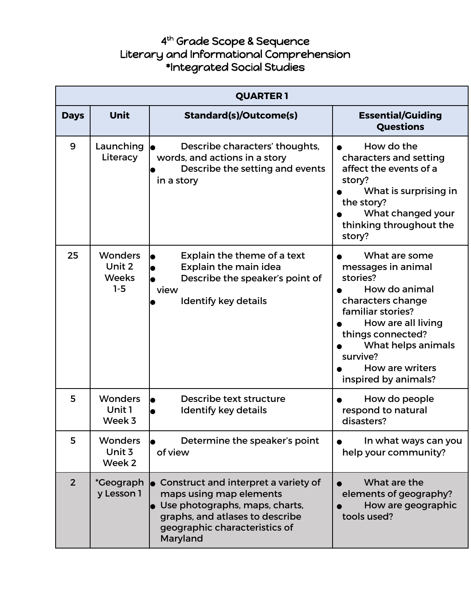## 4 th Grade Scope & Sequence Literary and Informational Comprehension \*Integrated Social Studies

| <b>QUARTER 1</b> |                                                   |                                                                                                                                                                                   |                                                                                                                                                                                                                                    |
|------------------|---------------------------------------------------|-----------------------------------------------------------------------------------------------------------------------------------------------------------------------------------|------------------------------------------------------------------------------------------------------------------------------------------------------------------------------------------------------------------------------------|
| <b>Days</b>      | <b>Unit</b>                                       | <b>Standard(s)/Outcome(s)</b>                                                                                                                                                     | <b>Essential/Guiding</b><br><b>Questions</b>                                                                                                                                                                                       |
| 9                | Launching<br>Literacy                             | Describe characters' thoughts,<br>words, and actions in a story<br>Describe the setting and events<br>in a story                                                                  | How do the<br>characters and setting<br>affect the events of a<br>story?<br>What is surprising in<br>the story?<br>What changed your<br>thinking throughout the<br>story?                                                          |
| 25               | <b>Wonders</b><br>Unit 2<br><b>Weeks</b><br>$1-5$ | Explain the theme of a text<br><b>Explain the main idea</b><br>Describe the speaker's point of<br>view<br><b>Identify key details</b>                                             | What are some<br>messages in animal<br>stories?<br>How do animal<br>characters change<br>familiar stories?<br>How are all living<br>things connected?<br>What helps animals<br>survive?<br>How are writers<br>inspired by animals? |
| 5                | <b>Wonders</b><br>Unit 1<br>Week 3                | Describe text structure<br>Identify key details                                                                                                                                   | How do people<br>respond to natural<br>disasters?                                                                                                                                                                                  |
| 5                | <b>Wonders</b><br>Unit 3<br>Week 2                | Determine the speaker's point<br>of view                                                                                                                                          | In what ways can you<br>help your community?                                                                                                                                                                                       |
| $\overline{2}$   | *Geograph<br>y Lesson 1                           | Construct and interpret a variety of<br>maps using map elements<br>Use photographs, maps, charts,<br>graphs, and atlases to describe<br>geographic characteristics of<br>Maryland | What are the<br>elements of geography?<br>How are geographic<br>tools used?                                                                                                                                                        |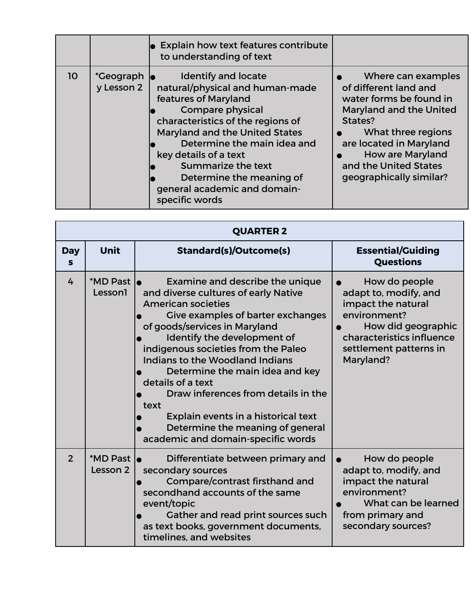|                 |                                 | $\bullet$ Explain how text features contribute<br>to understanding of text                                                                                                                                                                                                                                                                                        |                                                                                                                                                                                                                                                     |
|-----------------|---------------------------------|-------------------------------------------------------------------------------------------------------------------------------------------------------------------------------------------------------------------------------------------------------------------------------------------------------------------------------------------------------------------|-----------------------------------------------------------------------------------------------------------------------------------------------------------------------------------------------------------------------------------------------------|
| 10 <sup>°</sup> | <i>*</i> Geograph<br>y Lesson 2 | <b>Identify and locate</b><br>natural/physical and human-made<br>features of Maryland<br><b>Compare physical</b><br>characteristics of the regions of<br><b>Maryland and the United States</b><br>Determine the main idea and<br>key details of a text<br><b>Summarize the text</b><br>Determine the meaning of<br>general academic and domain-<br>specific words | Where can examples<br>of different land and<br>water forms be found in<br><b>Maryland and the United</b><br>States?<br>What three regions<br>are located in Maryland<br><b>How are Maryland</b><br>and the United States<br>geographically similar? |

|                            | <b>QUARTER 2</b>        |                                                                                                                                                                                                                                                                                                                                                                                                                                                                                                             |                                                                                                                                                                        |  |
|----------------------------|-------------------------|-------------------------------------------------------------------------------------------------------------------------------------------------------------------------------------------------------------------------------------------------------------------------------------------------------------------------------------------------------------------------------------------------------------------------------------------------------------------------------------------------------------|------------------------------------------------------------------------------------------------------------------------------------------------------------------------|--|
| <b>Day</b><br>$\mathbf{s}$ | Unit                    | Standard(s)/Outcome(s)                                                                                                                                                                                                                                                                                                                                                                                                                                                                                      | <b>Essential/Guiding</b><br><b>Questions</b>                                                                                                                           |  |
| 4                          | *MD Past  <br>Lesson1   | Examine and describe the unique<br>and diverse cultures of early Native<br><b>American societies</b><br>Give examples of barter exchanges<br>of goods/services in Maryland<br>Identify the development of<br>indigenous societies from the Paleo<br>Indians to the Woodland Indians<br>Determine the main idea and key<br>details of a text<br>Draw inferences from details in the<br>text<br>Explain events in a historical text<br>Determine the meaning of general<br>academic and domain-specific words | How do people<br>adapt to, modify, and<br>impact the natural<br>environment?<br>How did geographic<br>characteristics influence<br>settlement patterns in<br>Maryland? |  |
| $\overline{2}$             | *MD Past lo<br>Lesson 2 | Differentiate between primary and<br>secondary sources<br>Compare/contrast firsthand and<br>secondhand accounts of the same<br>event/topic<br>Gather and read print sources such<br>as text books, government documents,<br>timelines, and websites                                                                                                                                                                                                                                                         | How do people<br>adapt to, modify, and<br>impact the natural<br>environment?<br>What can be learned<br>from primary and<br>secondary sources?                          |  |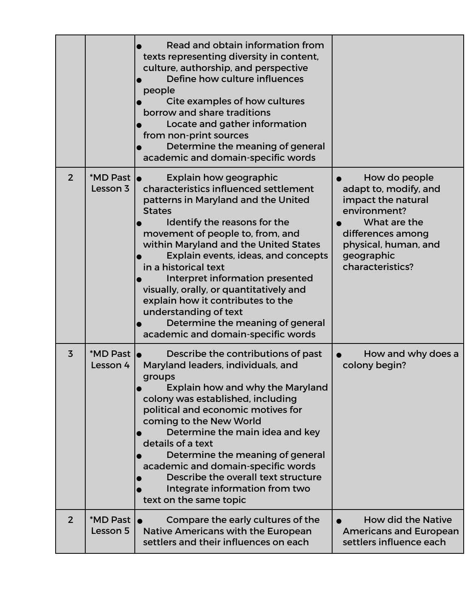|                |                         | Read and obtain information from<br>texts representing diversity in content,<br>culture, authorship, and perspective<br>Define how culture influences<br>people<br>Cite examples of how cultures<br>borrow and share traditions<br>Locate and gather information<br>from non-print sources<br>Determine the meaning of general<br>academic and domain-specific words                                                                                                                                                      |                                                                                                                                                                             |
|----------------|-------------------------|---------------------------------------------------------------------------------------------------------------------------------------------------------------------------------------------------------------------------------------------------------------------------------------------------------------------------------------------------------------------------------------------------------------------------------------------------------------------------------------------------------------------------|-----------------------------------------------------------------------------------------------------------------------------------------------------------------------------|
| $\overline{2}$ | *MD Past le<br>Lesson 3 | Explain how geographic<br>characteristics influenced settlement<br>patterns in Maryland and the United<br><b>States</b><br>Identify the reasons for the<br>movement of people to, from, and<br>within Maryland and the United States<br>Explain events, ideas, and concepts<br>in a historical text<br>Interpret information presented<br>visually, orally, or quantitatively and<br>explain how it contributes to the<br>understanding of text<br>Determine the meaning of general<br>academic and domain-specific words | How do people<br>adapt to, modify, and<br>impact the natural<br>environment?<br>What are the<br>differences among<br>physical, human, and<br>geographic<br>characteristics? |
| $\overline{3}$ | *MD Past lo<br>Lesson 4 | Describe the contributions of past<br>Maryland leaders, individuals, and<br>groups<br>Explain how and why the Maryland<br>colony was established, including<br>political and economic motives for<br>coming to the New World<br>Determine the main idea and key<br>details of a text<br>Determine the meaning of general<br>academic and domain-specific words<br>Describe the overall text structure<br>Integrate information from two<br>text on the same topic                                                         | How and why does a<br>colony begin?                                                                                                                                         |
| 2              | *MD Past 1<br>Lesson 5  | Compare the early cultures of the<br>Native Americans with the European<br>settlers and their influences on each                                                                                                                                                                                                                                                                                                                                                                                                          | <b>How did the Native</b><br><b>Americans and European</b><br>settlers influence each                                                                                       |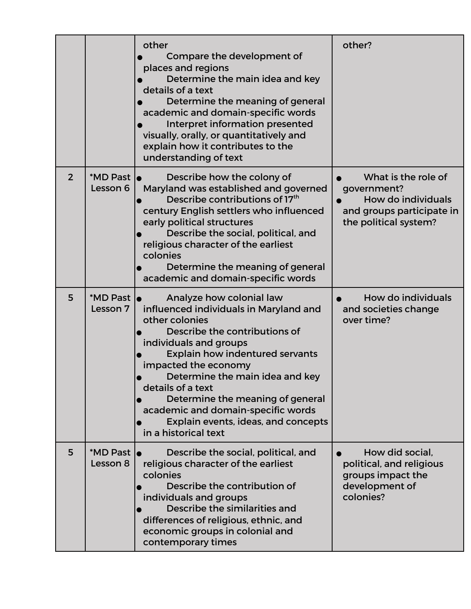|                |                                        | other<br>Compare the development of<br>places and regions<br>Determine the main idea and key<br>details of a text<br>Determine the meaning of general<br>academic and domain-specific words<br>Interpret information presented<br>visually, orally, or quantitatively and<br>explain how it contributes to the<br>understanding of text                                                                            | other?                                                                                                         |
|----------------|----------------------------------------|--------------------------------------------------------------------------------------------------------------------------------------------------------------------------------------------------------------------------------------------------------------------------------------------------------------------------------------------------------------------------------------------------------------------|----------------------------------------------------------------------------------------------------------------|
| $\overline{2}$ | *MD Past lo<br>Lesson 6                | Describe how the colony of<br>Maryland was established and governed<br>Describe contributions of 17 <sup>th</sup><br>century English settlers who influenced<br>early political structures<br>Describe the social, political, and<br>religious character of the earliest<br>colonies<br>Determine the meaning of general<br>academic and domain-specific words                                                     | What is the role of<br>government?<br>How do individuals<br>and groups participate in<br>the political system? |
| 5              | *MD Past  <br>Lesson 7                 | Analyze how colonial law<br>influenced individuals in Maryland and<br>other colonies<br>Describe the contributions of<br>individuals and groups<br><b>Explain how indentured servants</b><br>impacted the economy<br>Determine the main idea and key<br>details of a text<br>Determine the meaning of general<br>academic and domain-specific words<br>Explain events, ideas, and concepts<br>in a historical text | How do individuals<br>and societies change<br>over time?                                                       |
| 5              | *MD Past $\vert_{\bullet}$<br>Lesson 8 | Describe the social, political, and<br>religious character of the earliest<br>colonies<br>Describe the contribution of<br>individuals and groups<br>Describe the similarities and<br>differences of religious, ethnic, and<br>economic groups in colonial and<br>contemporary times                                                                                                                                | How did social,<br>political, and religious<br>groups impact the<br>development of<br>colonies?                |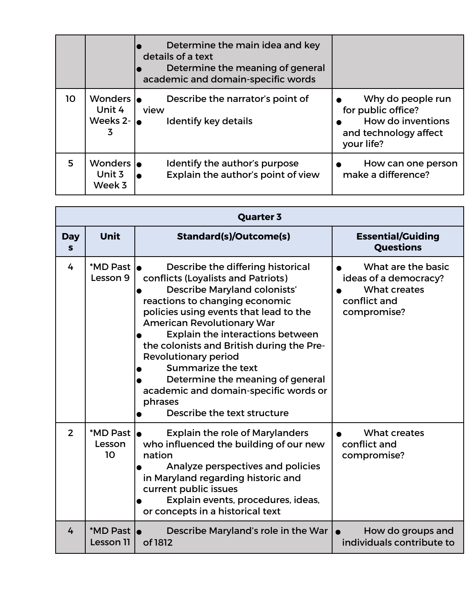|    |                                       | Determine the main idea and key<br>details of a text<br>Determine the meaning of general<br>academic and domain-specific words |                                                                                                     |
|----|---------------------------------------|--------------------------------------------------------------------------------------------------------------------------------|-----------------------------------------------------------------------------------------------------|
| 10 | Wonders lo<br>Unit 4<br>Weeks 2-<br>3 | Describe the narrator's point of<br>view<br><b>Identify key details</b>                                                        | Why do people run<br>for public office?<br>How do inventions<br>and technology affect<br>your life? |
| 5  | Wonders lo<br>Unit 3<br>Week 3        | Identify the author's purpose<br>Explain the author's point of view                                                            | How can one person<br>make a difference?                                                            |

|                  | <b>Quarter 3</b>           |                                                                                                                                                                                                                                                                                                                                                                                                                                                                                              |                                                                                            |  |
|------------------|----------------------------|----------------------------------------------------------------------------------------------------------------------------------------------------------------------------------------------------------------------------------------------------------------------------------------------------------------------------------------------------------------------------------------------------------------------------------------------------------------------------------------------|--------------------------------------------------------------------------------------------|--|
| <b>Day</b><br>S. | <b>Unit</b>                | Standard(s)/Outcome(s)                                                                                                                                                                                                                                                                                                                                                                                                                                                                       | <b>Essential/Guiding</b><br><b>Questions</b>                                               |  |
| 4                | *MD Past le<br>Lesson 9    | Describe the differing historical<br>conflicts (Loyalists and Patriots)<br><b>Describe Maryland colonists'</b><br>reactions to changing economic<br>policies using events that lead to the<br><b>American Revolutionary War</b><br>Explain the interactions between<br>the colonists and British during the Pre-<br><b>Revolutionary period</b><br>Summarize the text<br>Determine the meaning of general<br>academic and domain-specific words or<br>phrases<br>Describe the text structure | What are the basic<br>ideas of a democracy?<br>What creates<br>conflict and<br>compromise? |  |
| $\overline{2}$   | *MD Past  <br>Lesson<br>10 | <b>Explain the role of Marylanders</b><br>who influenced the building of our new<br>nation<br>Analyze perspectives and policies<br>in Maryland regarding historic and<br>current public issues<br>Explain events, procedures, ideas,<br>or concepts in a historical text                                                                                                                                                                                                                     | What creates<br>conflict and<br>compromise?                                                |  |
| 4                | *MD Past le<br>Lesson 11   | Describe Maryland's role in the War<br>of 1812                                                                                                                                                                                                                                                                                                                                                                                                                                               | How do groups and<br>individuals contribute to                                             |  |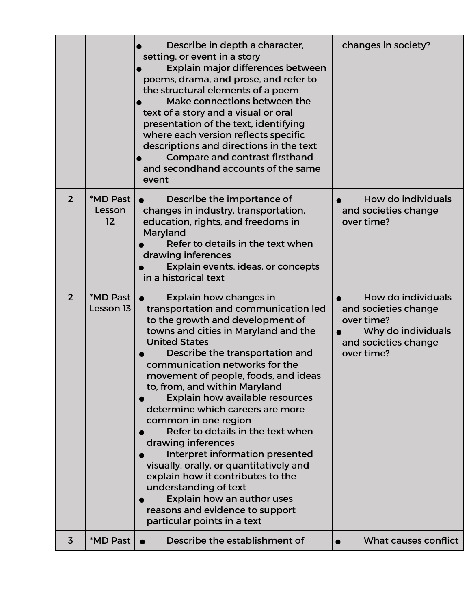|                |                          | Describe in depth a character,<br>setting, or event in a story<br>Explain major differences between<br>poems, drama, and prose, and refer to<br>the structural elements of a poem<br>Make connections between the<br>text of a story and a visual or oral<br>presentation of the text, identifying<br>where each version reflects specific<br>descriptions and directions in the text<br>Compare and contrast firsthand<br>and secondhand accounts of the same<br>event                                                                                                                                                                                                                                                       | changes in society?                                                                                                  |
|----------------|--------------------------|-------------------------------------------------------------------------------------------------------------------------------------------------------------------------------------------------------------------------------------------------------------------------------------------------------------------------------------------------------------------------------------------------------------------------------------------------------------------------------------------------------------------------------------------------------------------------------------------------------------------------------------------------------------------------------------------------------------------------------|----------------------------------------------------------------------------------------------------------------------|
| $\overline{2}$ | *MD Past<br>Lesson<br>12 | Describe the importance of<br>changes in industry, transportation,<br>education, rights, and freedoms in<br>Maryland<br>Refer to details in the text when<br>drawing inferences<br>Explain events, ideas, or concepts<br>in a historical text                                                                                                                                                                                                                                                                                                                                                                                                                                                                                 | How do individuals<br>and societies change<br>over time?                                                             |
| $\overline{2}$ | *MD Past<br>Lesson 13    | Explain how changes in<br>transportation and communication led<br>to the growth and development of<br>towns and cities in Maryland and the<br><b>United States</b><br>Describe the transportation and<br>communication networks for the<br>movement of people, foods, and ideas<br>to, from, and within Maryland<br><b>Explain how available resources</b><br>determine which careers are more<br>common in one region<br>Refer to details in the text when<br>drawing inferences<br>Interpret information presented<br>visually, orally, or quantitatively and<br>explain how it contributes to the<br>understanding of text<br>Explain how an author uses<br>reasons and evidence to support<br>particular points in a text | How do individuals<br>and societies change<br>over time?<br>Why do individuals<br>and societies change<br>over time? |
| $\overline{3}$ | *MD Past                 | Describe the establishment of                                                                                                                                                                                                                                                                                                                                                                                                                                                                                                                                                                                                                                                                                                 | <b>What causes conflict</b>                                                                                          |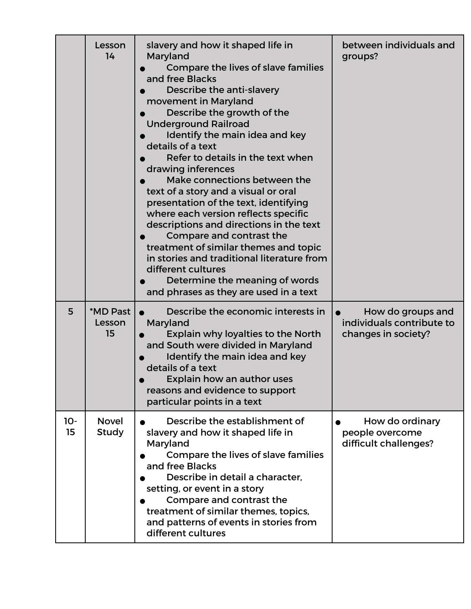|             | Lesson<br>14                 | slavery and how it shaped life in<br>Maryland<br>Compare the lives of slave families<br>and free Blacks<br>Describe the anti-slavery<br>movement in Maryland<br>Describe the growth of the<br><b>Underground Railroad</b><br>Identify the main idea and key<br>details of a text<br>Refer to details in the text when<br>drawing inferences<br>Make connections between the<br>text of a story and a visual or oral<br>presentation of the text, identifying<br>where each version reflects specific<br>descriptions and directions in the text<br>Compare and contrast the<br>treatment of similar themes and topic<br>in stories and traditional literature from<br>different cultures<br>Determine the meaning of words<br>and phrases as they are used in a text | between individuals and<br>groups?                                    |
|-------------|------------------------------|----------------------------------------------------------------------------------------------------------------------------------------------------------------------------------------------------------------------------------------------------------------------------------------------------------------------------------------------------------------------------------------------------------------------------------------------------------------------------------------------------------------------------------------------------------------------------------------------------------------------------------------------------------------------------------------------------------------------------------------------------------------------|-----------------------------------------------------------------------|
| 5           | *MD Past<br>Lesson<br>15     | Describe the economic interests in<br>Maryland<br>Explain why loyalties to the North<br>and South were divided in Maryland<br>Identify the main idea and key<br>details of a text<br>Explain how an author uses<br>reasons and evidence to support<br>particular points in a text                                                                                                                                                                                                                                                                                                                                                                                                                                                                                    | How do groups and<br>individuals contribute to<br>changes in society? |
| $10-$<br>15 | <b>Novel</b><br><b>Study</b> | Describe the establishment of<br>slavery and how it shaped life in<br>Maryland<br>Compare the lives of slave families<br>and free Blacks<br>Describe in detail a character.<br>setting, or event in a story<br>Compare and contrast the<br>treatment of similar themes, topics,<br>and patterns of events in stories from<br>different cultures                                                                                                                                                                                                                                                                                                                                                                                                                      | How do ordinary<br>people overcome<br>difficult challenges?           |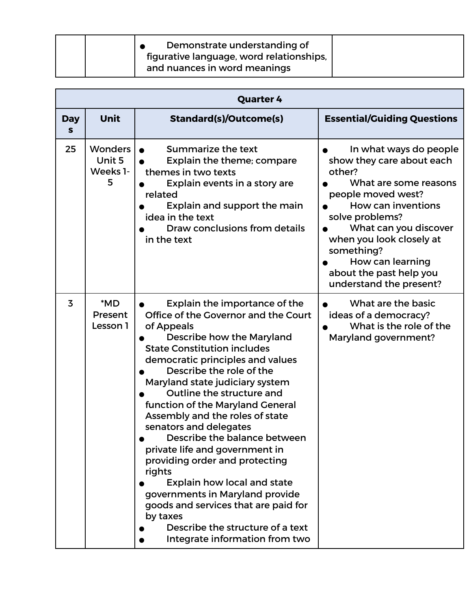| Demonstrate understanding of<br>figurative language, word relationships, |
|--------------------------------------------------------------------------|
| and nuances in word meanings                                             |

|                 |                                           | <b>Quarter 4</b>                                                                                                                                                                                                                                                                                                                                                                                                                                                                                                                                                                                                                                                                                  |                                                                                                                                                                                                                                                                                                           |
|-----------------|-------------------------------------------|---------------------------------------------------------------------------------------------------------------------------------------------------------------------------------------------------------------------------------------------------------------------------------------------------------------------------------------------------------------------------------------------------------------------------------------------------------------------------------------------------------------------------------------------------------------------------------------------------------------------------------------------------------------------------------------------------|-----------------------------------------------------------------------------------------------------------------------------------------------------------------------------------------------------------------------------------------------------------------------------------------------------------|
| <b>Day</b><br>S | <b>Unit</b>                               | <b>Standard(s)/Outcome(s)</b>                                                                                                                                                                                                                                                                                                                                                                                                                                                                                                                                                                                                                                                                     | <b>Essential/Guiding Questions</b>                                                                                                                                                                                                                                                                        |
| 25              | <b>Wonders</b><br>Unit 5<br>Weeks 1-<br>5 | Summarize the text<br>Explain the theme; compare<br>themes in two texts<br>Explain events in a story are<br>related<br>Explain and support the main<br>idea in the text<br>Draw conclusions from details<br>in the text                                                                                                                                                                                                                                                                                                                                                                                                                                                                           | In what ways do people<br>show they care about each<br>other?<br>What are some reasons<br>people moved west?<br><b>How can inventions</b><br>solve problems?<br>What can you discover<br>when you look closely at<br>something?<br>How can learning<br>about the past help you<br>understand the present? |
| $\overline{3}$  | *MD<br>Present<br>Lesson 1                | Explain the importance of the<br>Office of the Governor and the Court<br>of Appeals<br>Describe how the Maryland<br><b>State Constitution includes</b><br>democratic principles and values<br>Describe the role of the<br>Maryland state judiciary system<br>Outline the structure and<br>function of the Maryland General<br>Assembly and the roles of state<br>senators and delegates<br>Describe the balance between<br>private life and government in<br>providing order and protecting<br>rights<br>Explain how local and state<br>governments in Maryland provide<br>goods and services that are paid for<br>by taxes<br>Describe the structure of a text<br>Integrate information from two | What are the basic<br>ideas of a democracy?<br>What is the role of the<br><b>Maryland government?</b>                                                                                                                                                                                                     |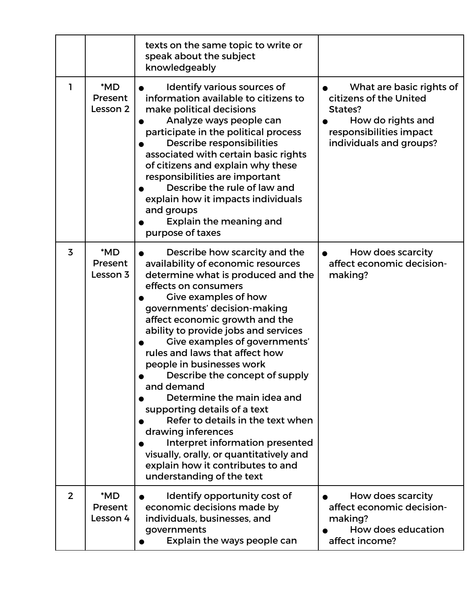|                |                            | texts on the same topic to write or<br>speak about the subject<br>knowledgeably                                                                                                                                                                                                                                                                                                                                                                                                                                                                                                                                                                                                               |                                                                                                                                          |
|----------------|----------------------------|-----------------------------------------------------------------------------------------------------------------------------------------------------------------------------------------------------------------------------------------------------------------------------------------------------------------------------------------------------------------------------------------------------------------------------------------------------------------------------------------------------------------------------------------------------------------------------------------------------------------------------------------------------------------------------------------------|------------------------------------------------------------------------------------------------------------------------------------------|
| 1              | *MD<br>Present<br>Lesson 2 | Identify various sources of<br>information available to citizens to<br>make political decisions<br>Analyze ways people can<br>participate in the political process<br>Describe responsibilities<br>associated with certain basic rights<br>of citizens and explain why these<br>responsibilities are important<br>Describe the rule of law and<br>explain how it impacts individuals<br>and groups<br><b>Explain the meaning and</b><br>purpose of taxes                                                                                                                                                                                                                                      | What are basic rights of<br>citizens of the United<br>States?<br>How do rights and<br>responsibilities impact<br>individuals and groups? |
| 3              | *MD<br>Present<br>Lesson 3 | Describe how scarcity and the<br>availability of economic resources<br>determine what is produced and the<br>effects on consumers<br>Give examples of how<br>governments' decision-making<br>affect economic growth and the<br>ability to provide jobs and services<br>Give examples of governments'<br>rules and laws that affect how<br>people in businesses work<br>Describe the concept of supply<br>and demand<br>Determine the main idea and<br>supporting details of a text<br>Refer to details in the text when<br>drawing inferences<br>Interpret information presented<br>visually, orally, or quantitatively and<br>explain how it contributes to and<br>understanding of the text | How does scarcity<br>affect economic decision-<br>making?                                                                                |
| $\overline{2}$ | *MD<br>Present<br>Lesson 4 | Identify opportunity cost of<br>economic decisions made by<br>individuals, businesses, and<br>governments<br>Explain the ways people can                                                                                                                                                                                                                                                                                                                                                                                                                                                                                                                                                      | How does scarcity<br>affect economic decision-<br>making?<br>How does education<br>affect income?                                        |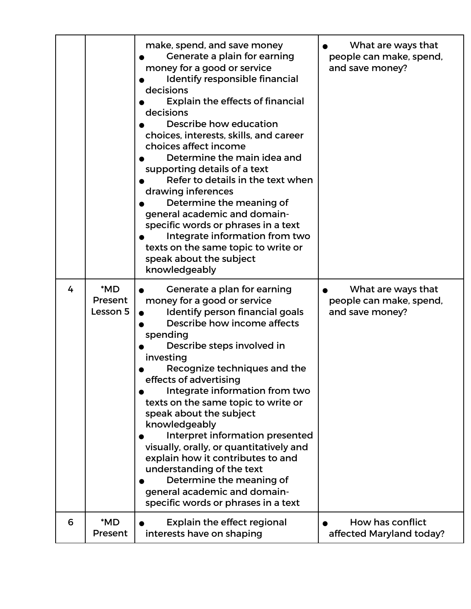|   |                            | make, spend, and save money<br>Generate a plain for earning<br>money for a good or service<br>Identify responsible financial<br>decisions<br><b>Explain the effects of financial</b><br>decisions<br>Describe how education<br>choices, interests, skills, and career<br>choices affect income<br>Determine the main idea and<br>supporting details of a text<br>Refer to details in the text when<br>drawing inferences<br>Determine the meaning of<br>general academic and domain-<br>specific words or phrases in a text<br>Integrate information from two<br>texts on the same topic to write or<br>speak about the subject<br>knowledgeably | What are ways that<br>people can make, spend,<br>and save money? |
|---|----------------------------|--------------------------------------------------------------------------------------------------------------------------------------------------------------------------------------------------------------------------------------------------------------------------------------------------------------------------------------------------------------------------------------------------------------------------------------------------------------------------------------------------------------------------------------------------------------------------------------------------------------------------------------------------|------------------------------------------------------------------|
| 4 | *MD<br>Present<br>Lesson 5 | Generate a plan for earning<br>money for a good or service<br>Identify person financial goals<br>Describe how income affects<br>spending<br>Describe steps involved in<br>investing<br>Recognize techniques and the<br>effects of advertising<br>Integrate information from two<br>texts on the same topic to write or<br>speak about the subject<br>knowledgeably<br>Interpret information presented<br>visually, orally, or quantitatively and<br>explain how it contributes to and<br>understanding of the text<br>Determine the meaning of<br>general academic and domain-<br>specific words or phrases in a text                            | What are ways that<br>people can make, spend,<br>and save money? |
| 6 | *MD<br>Present             | <b>Explain the effect regional</b><br>interests have on shaping                                                                                                                                                                                                                                                                                                                                                                                                                                                                                                                                                                                  | How has conflict<br>affected Maryland today?                     |